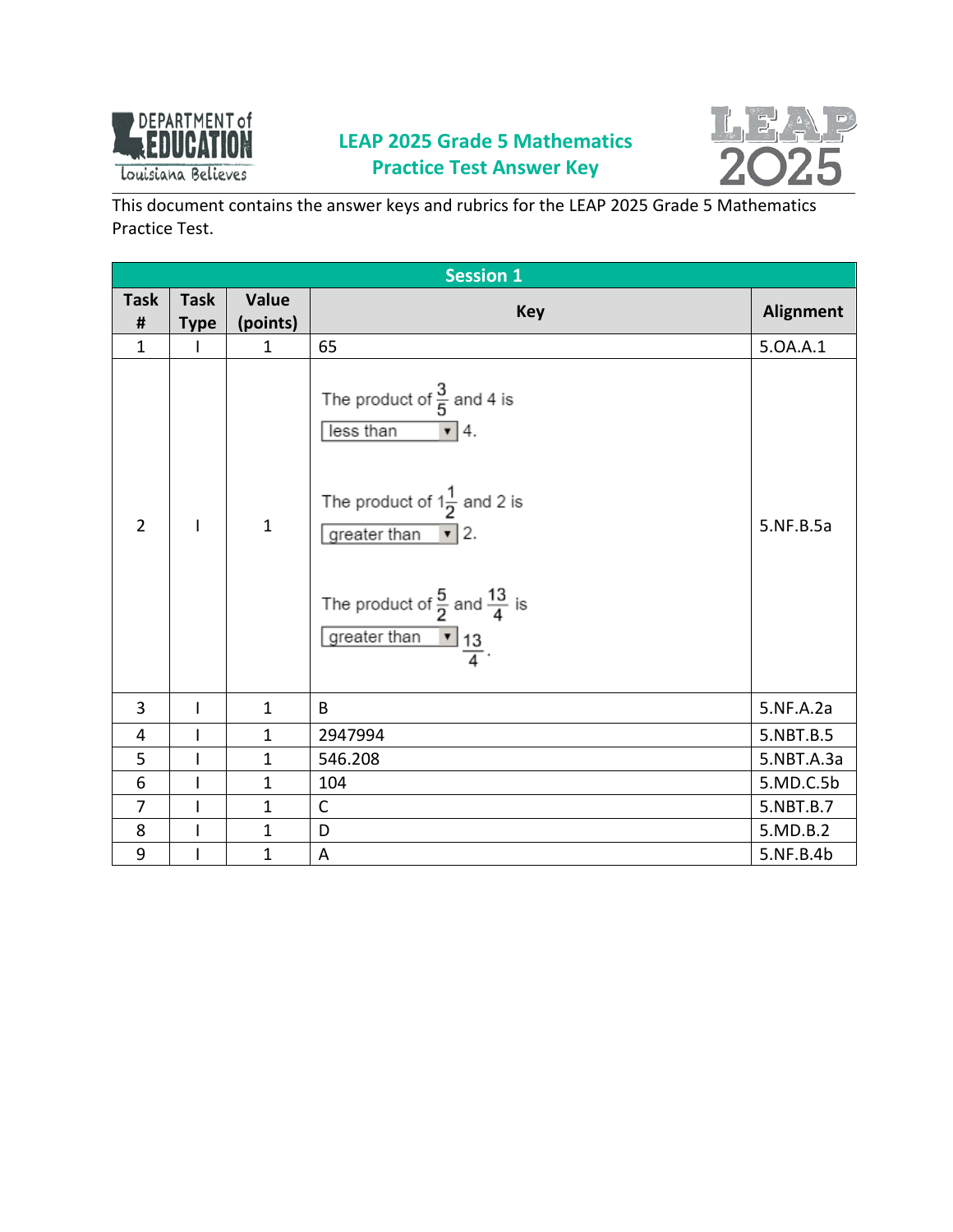

## **LEAP 2025 Grade 5 Mathematics Practice Test Answer Key**



This document contains the answer keys and rubrics for the LEAP 2025 Grade 5 Mathematics Practice Test.

| <b>Session 1</b> |                          |              |                                                                                                                                                                                                                                        |                  |  |
|------------------|--------------------------|--------------|----------------------------------------------------------------------------------------------------------------------------------------------------------------------------------------------------------------------------------------|------------------|--|
| <b>Task</b>      | <b>Task</b>              | Value        | <b>Key</b>                                                                                                                                                                                                                             | <b>Alignment</b> |  |
| $\pmb{\sharp}$   | <b>Type</b>              | (points)     |                                                                                                                                                                                                                                        |                  |  |
| $\mathbf{1}$     | I                        | $\mathbf{1}$ | 65                                                                                                                                                                                                                                     | 5.0A.A.1         |  |
| $\overline{2}$   | T                        | $\mathbf{1}$ | The product of $\frac{3}{5}$ and 4 is<br>less than<br>$\mathbf{v}$   4.<br>The product of $1\frac{1}{2}$ and 2 is<br>greater than $\mathbf{v}$ 2.<br>The product of $\frac{5}{2}$ and $\frac{13}{4}$ is<br>greater than $\frac{13}{4}$ | 5.NF.B.5a        |  |
| 3                | $\mathsf{l}$             | $\mathbf{1}$ | B                                                                                                                                                                                                                                      | 5.NF.A.2a        |  |
| 4                | $\overline{1}$           | $\mathbf{1}$ | 2947994                                                                                                                                                                                                                                | 5.NBT.B.5        |  |
| 5                | $\mathsf I$              | $\mathbf{1}$ | 546.208                                                                                                                                                                                                                                | 5.NBT.A.3a       |  |
| 6                | $\overline{1}$           | $\mathbf{1}$ | 104                                                                                                                                                                                                                                    | 5.MD.C.5b        |  |
| $\overline{7}$   | $\overline{\phantom{a}}$ | $\mathbf{1}$ | $\mathsf{C}$                                                                                                                                                                                                                           | 5.NBT.B.7        |  |
| 8                | I                        | $\mathbf{1}$ | D                                                                                                                                                                                                                                      | 5.MD.B.2         |  |
| $9\,$            | I                        | $\mathbf{1}$ | A                                                                                                                                                                                                                                      | 5.NF.B.4b        |  |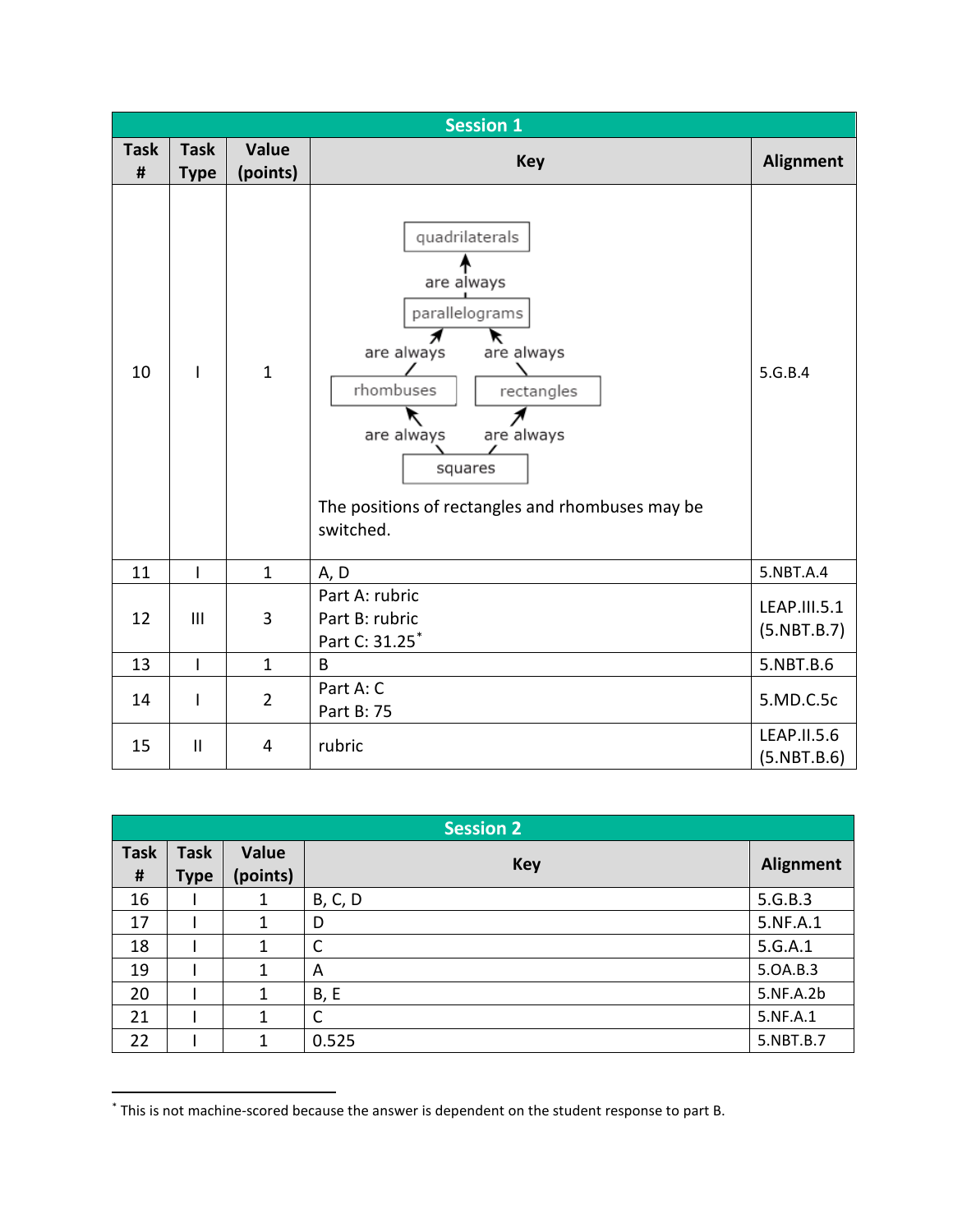|                  | <b>Session 1</b>           |                          |                                                                                                                                                                                                                         |                             |  |  |
|------------------|----------------------------|--------------------------|-------------------------------------------------------------------------------------------------------------------------------------------------------------------------------------------------------------------------|-----------------------------|--|--|
| <b>Task</b><br># | <b>Task</b><br><b>Type</b> | <b>Value</b><br>(points) | <b>Key</b>                                                                                                                                                                                                              | <b>Alignment</b>            |  |  |
| 10               | $\mathbf{I}$               | $\mathbf{1}$             | quadrilaterals<br>are always<br>parallelograms<br>Я<br>are always<br>are always<br>rhombuses<br>rectangles<br>↖<br>are always<br>are always<br>squares<br>The positions of rectangles and rhombuses may be<br>switched. | 5.G.B.4                     |  |  |
| 11               | $\mathsf{I}$               | $\mathbf{1}$             | A, D                                                                                                                                                                                                                    | 5.NBT.A.4                   |  |  |
| 12               | $\mathbf{III}$             | 3                        | Part A: rubric<br>Part B: rubric<br>Part C: 31.25*                                                                                                                                                                      | LEAP.III.5.1<br>(5.NBT.B.7) |  |  |
| 13               | $\mathbf{I}$               | $\mathbf{1}$             | $\mathsf{B}$                                                                                                                                                                                                            | 5.NBT.B.6                   |  |  |
| 14               | T                          | $\overline{2}$           | Part A: C<br>Part B: 75                                                                                                                                                                                                 | 5.MD.C.5c                   |  |  |
| 15               | $\mathbf{  }$              | $\overline{4}$           | rubric                                                                                                                                                                                                                  | LEAP.II.5.6<br>(5.NBT.B.6)  |  |  |

|                  | <b>Session 2</b>           |                   |                |                  |  |  |
|------------------|----------------------------|-------------------|----------------|------------------|--|--|
| <b>Task</b><br># | <b>Task</b><br><b>Type</b> | Value<br>(points) | <b>Key</b>     | <b>Alignment</b> |  |  |
| 16               |                            | 1                 | <b>B, C, D</b> | 5.G.B.3          |  |  |
| 17               |                            | 1                 | D              | 5.NF.A.1         |  |  |
| 18               |                            | 1                 | C              | 5.G.A.1          |  |  |
| 19               |                            | $\mathbf{1}$      | A              | 5.0A.B.3         |  |  |
| 20               |                            | 1                 | <b>B, E</b>    | 5.NF.A.2b        |  |  |
| 21               |                            | 1                 | C              | 5.NF.A.1         |  |  |
| 22               |                            | 1                 | 0.525          | 5.NBT.B.7        |  |  |

<span id="page-1-0"></span> <sup>\*</sup> This is not machine-scored because the answer is dependent on the student response to part B.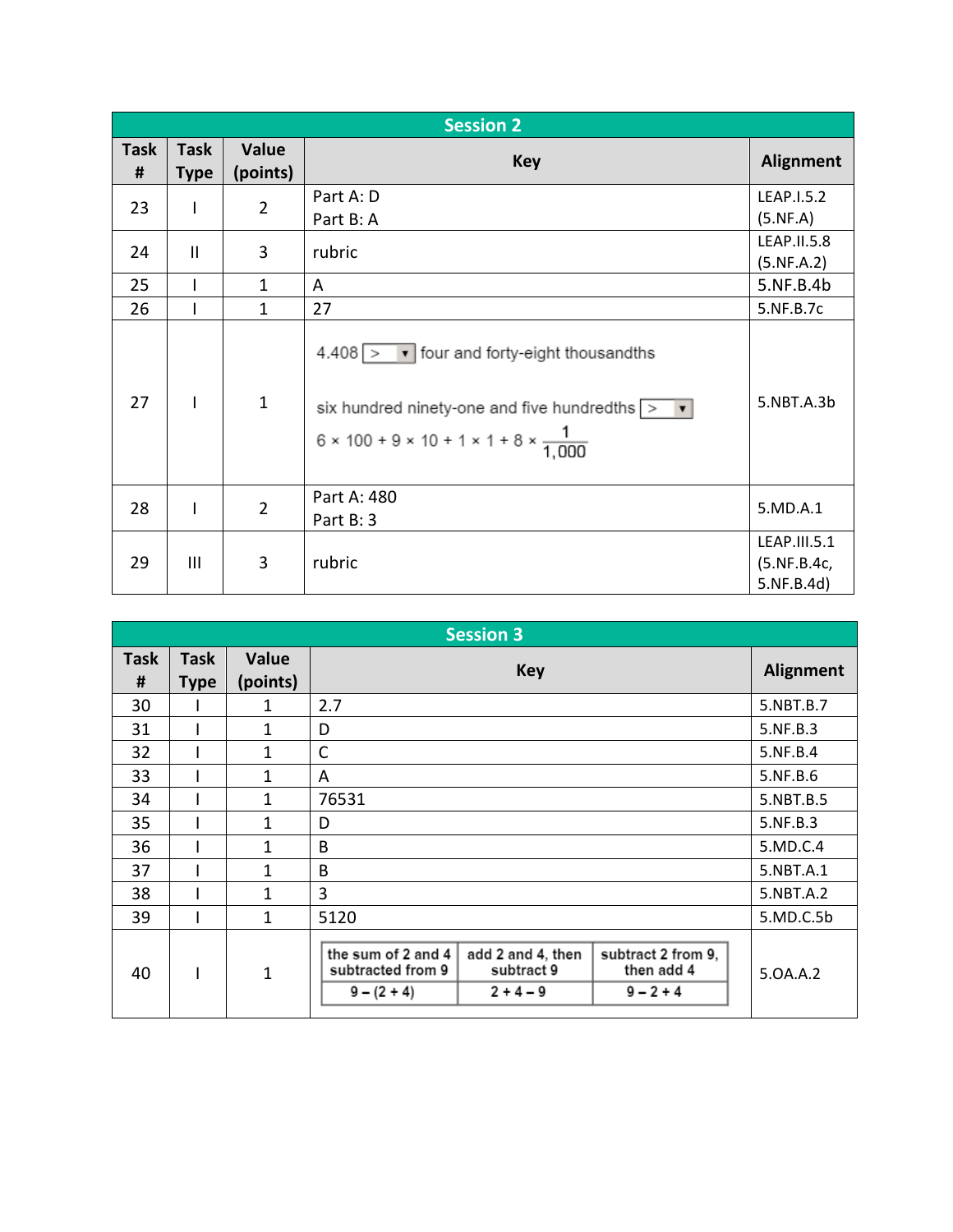|                  | <b>Session 2</b>           |                          |                                                                                                                                                                                                |                                           |  |
|------------------|----------------------------|--------------------------|------------------------------------------------------------------------------------------------------------------------------------------------------------------------------------------------|-------------------------------------------|--|
| <b>Task</b><br># | <b>Task</b><br><b>Type</b> | <b>Value</b><br>(points) | <b>Key</b>                                                                                                                                                                                     | Alignment                                 |  |
| 23               |                            | $\overline{2}$           | Part A: D<br>Part B: A                                                                                                                                                                         | LEAP.I.5.2<br>(5.NF.A)                    |  |
| 24               | $\mathbf{II}$              | 3                        | rubric                                                                                                                                                                                         | LEAP.II.5.8<br>(5.NF.A.2)                 |  |
| 25               |                            | $\mathbf{1}$             | A                                                                                                                                                                                              | 5.NF.B.4b                                 |  |
| 26               |                            | $\mathbf{1}$             | 27                                                                                                                                                                                             | 5.NF.B.7c                                 |  |
| 27               | I                          | $\mathbf{1}$             | $4.408$ > $\bullet$ four and forty-eight thousandths<br>six hundred ninety-one and five hundredths $\vert \cdot \vert$<br>$6 \times 100 + 9 \times 10 + 1 \times 1 + 8 \times \frac{1}{1,000}$ | 5.NBT.A.3b                                |  |
| 28               | I                          | $\overline{2}$           | Part A: 480<br>Part B: 3                                                                                                                                                                       | 5.MD.A.1                                  |  |
| 29               | $\mathbf{III}$             | 3                        | rubric                                                                                                                                                                                         | LEAP.III.5.1<br>(5.NF.B.4c,<br>5.NF.B.4d) |  |

|                  | <b>Session 3</b>           |                          |                                                          |                                                |                                                 |           |
|------------------|----------------------------|--------------------------|----------------------------------------------------------|------------------------------------------------|-------------------------------------------------|-----------|
| <b>Task</b><br># | <b>Task</b><br><b>Type</b> | <b>Value</b><br>(points) |                                                          | <b>Key</b>                                     |                                                 | Alignment |
| 30               |                            | 1                        | 2.7                                                      |                                                |                                                 | 5.NBT.B.7 |
| 31               |                            | $\mathbf{1}$             | D                                                        |                                                |                                                 | 5.NF.B.3  |
| 32               |                            | 1                        | $\mathsf{C}$                                             |                                                |                                                 | 5.NF.B.4  |
| 33               |                            | 1                        | A                                                        |                                                |                                                 | 5.NF.B.6  |
| 34               |                            | 1                        | 76531                                                    |                                                |                                                 | 5.NBT.B.5 |
| 35               |                            | 1                        | D                                                        |                                                |                                                 | 5.NF.B.3  |
| 36               |                            | 1                        | B                                                        |                                                |                                                 | 5.MD.C.4  |
| 37               |                            | 1                        | B                                                        |                                                |                                                 | 5.NBT.A.1 |
| 38               |                            | 1                        | 3                                                        |                                                |                                                 | 5.NBT.A.2 |
| 39               |                            | $\mathbf{1}$             | 5120                                                     |                                                |                                                 | 5.MD.C.5b |
| 40               |                            | $\mathbf{1}$             | the sum of 2 and 4<br>subtracted from 9<br>$9 - (2 + 4)$ | add 2 and 4, then<br>subtract 9<br>$2 + 4 - 9$ | subtract 2 from 9,<br>then add 4<br>$9 - 2 + 4$ | 5.0A.A.2  |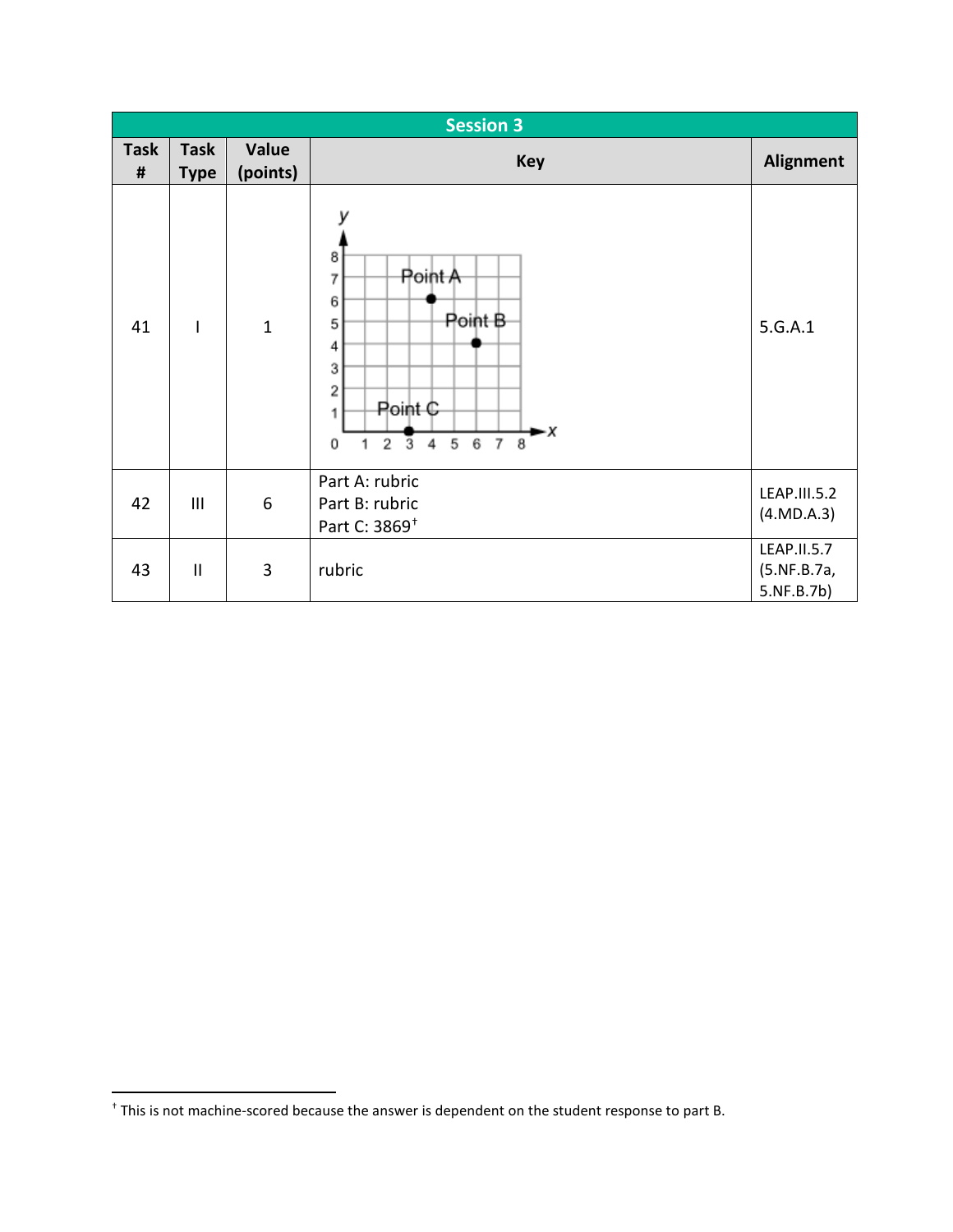|                  | <b>Session 3</b>           |                   |                                                                                                                                             |                                          |  |
|------------------|----------------------------|-------------------|---------------------------------------------------------------------------------------------------------------------------------------------|------------------------------------------|--|
| <b>Task</b><br># | <b>Task</b><br><b>Type</b> | Value<br>(points) | <b>Key</b>                                                                                                                                  | Alignment                                |  |
| 41               | $\mathsf{l}$               | $\mathbf{1}$      | 8<br>Point A<br>7<br>6<br>Point B<br>5<br>4<br>3<br>2<br>Point C<br>1<br>-х<br>5<br>7 8<br>2<br>6<br>$\overline{3}$<br>$\sqrt{4}$<br>0<br>1 | 5.G.A.1                                  |  |
| 42               | III                        | $6\,$             | Part A: rubric<br>Part B: rubric<br>Part C: 3869 <sup>+</sup>                                                                               | LEAP.III.5.2<br>(4.MD.A.3)               |  |
| 43               | $\mathbf{I}$               | 3                 | rubric                                                                                                                                      | LEAP.II.5.7<br>(5.NF.B.7a,<br>5.NF.B.7b) |  |

<span id="page-3-0"></span> <sup>†</sup> This is not machine-scored because the answer is dependent on the student response to part B.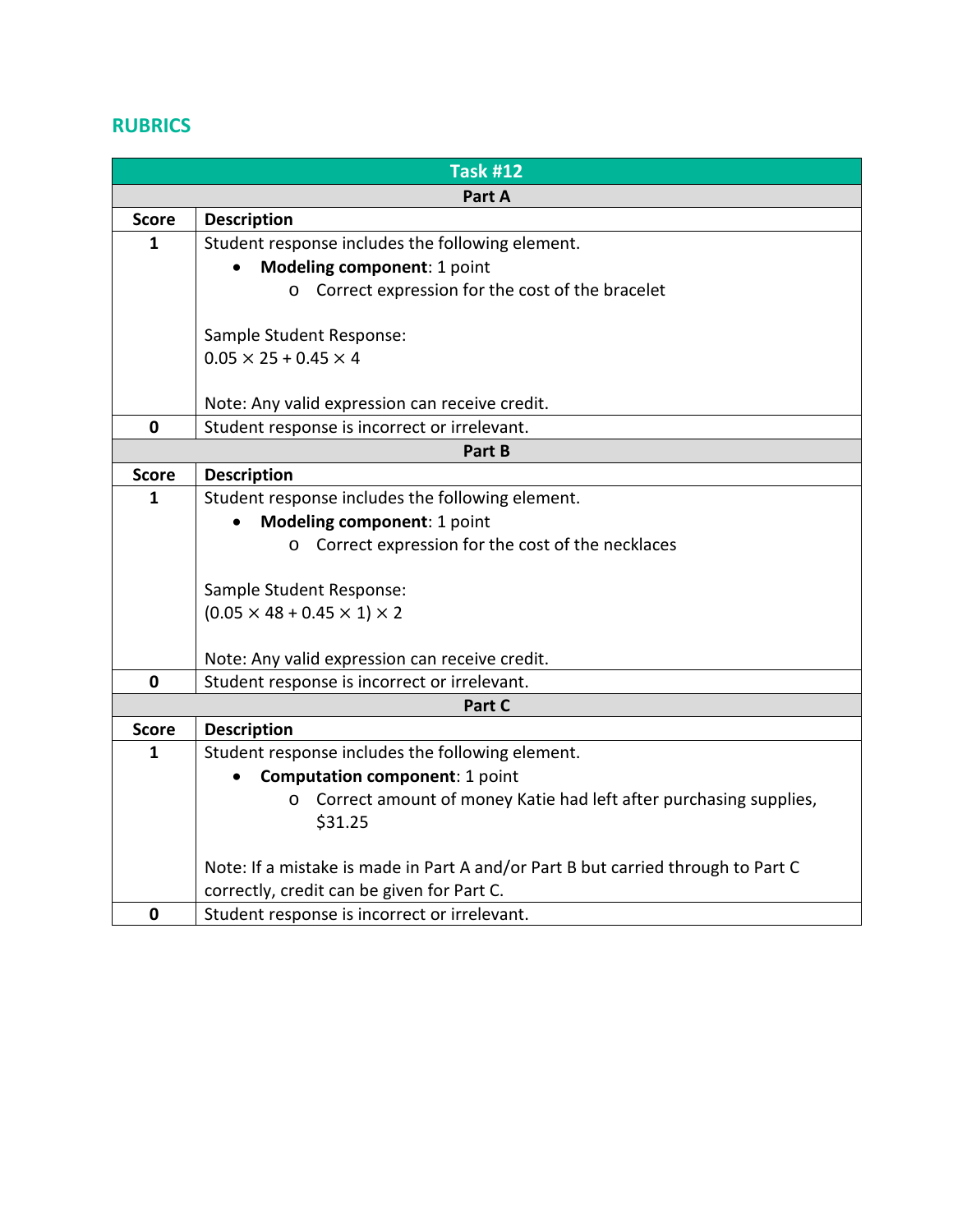## **RUBRICS**

|              | <b>Task #12</b>                                                                  |
|--------------|----------------------------------------------------------------------------------|
|              | Part A                                                                           |
| <b>Score</b> | <b>Description</b>                                                               |
| $\mathbf{1}$ | Student response includes the following element.                                 |
|              | Modeling component: 1 point                                                      |
|              | o Correct expression for the cost of the bracelet                                |
|              |                                                                                  |
|              | Sample Student Response:                                                         |
|              | $0.05 \times 25 + 0.45 \times 4$                                                 |
|              | Note: Any valid expression can receive credit.                                   |
| $\mathbf 0$  | Student response is incorrect or irrelevant.                                     |
|              | Part B                                                                           |
| <b>Score</b> | <b>Description</b>                                                               |
| 1            | Student response includes the following element.                                 |
|              | Modeling component: 1 point                                                      |
|              | o Correct expression for the cost of the necklaces                               |
|              |                                                                                  |
|              | Sample Student Response:                                                         |
|              | $(0.05 \times 48 + 0.45 \times 1) \times 2$                                      |
|              |                                                                                  |
|              | Note: Any valid expression can receive credit.                                   |
| $\mathbf 0$  | Student response is incorrect or irrelevant.                                     |
|              | Part C                                                                           |
| <b>Score</b> | <b>Description</b>                                                               |
| $\mathbf{1}$ | Student response includes the following element.                                 |
|              | <b>Computation component: 1 point</b>                                            |
|              | Correct amount of money Katie had left after purchasing supplies,<br>$\circ$     |
|              | \$31.25                                                                          |
|              | Note: If a mistake is made in Part A and/or Part B but carried through to Part C |
|              | correctly, credit can be given for Part C.                                       |
| 0            | Student response is incorrect or irrelevant.                                     |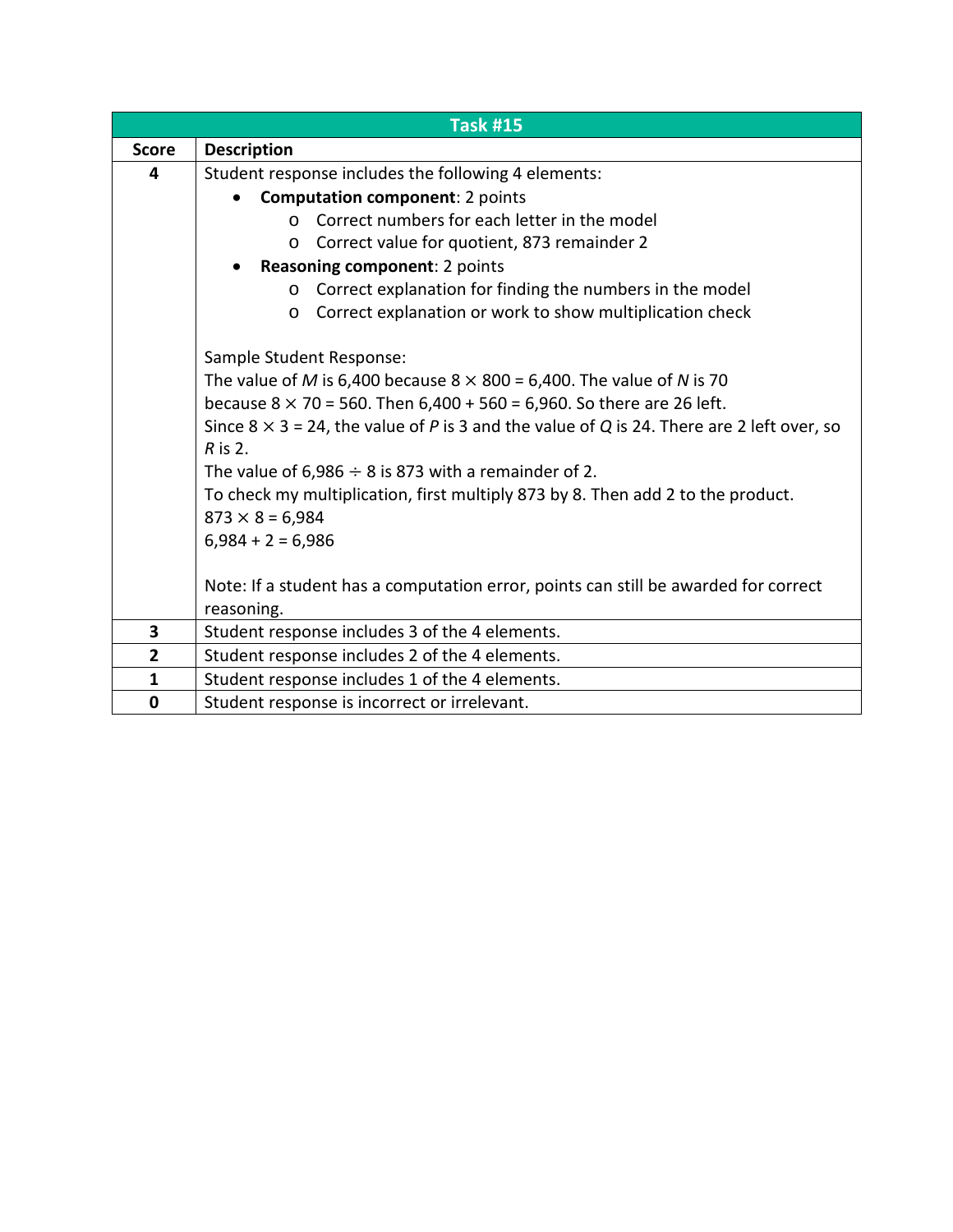|              | <b>Task #15</b>                                                                                   |  |  |  |
|--------------|---------------------------------------------------------------------------------------------------|--|--|--|
| <b>Score</b> | <b>Description</b>                                                                                |  |  |  |
| 4            | Student response includes the following 4 elements:                                               |  |  |  |
|              | <b>Computation component: 2 points</b>                                                            |  |  |  |
|              | Correct numbers for each letter in the model<br>$\Omega$                                          |  |  |  |
|              | Correct value for quotient, 873 remainder 2<br>$\circ$                                            |  |  |  |
|              | Reasoning component: 2 points                                                                     |  |  |  |
|              | Correct explanation for finding the numbers in the model<br>$\circ$                               |  |  |  |
|              | Correct explanation or work to show multiplication check<br>$\circ$                               |  |  |  |
|              |                                                                                                   |  |  |  |
|              | Sample Student Response:                                                                          |  |  |  |
|              | The value of M is 6,400 because $8 \times 800 = 6,400$ . The value of N is 70                     |  |  |  |
|              | because $8 \times 70 = 560$ . Then $6,400 + 560 = 6,960$ . So there are 26 left.                  |  |  |  |
|              | Since $8 \times 3 = 24$ , the value of P is 3 and the value of Q is 24. There are 2 left over, so |  |  |  |
|              | $R$ is 2.                                                                                         |  |  |  |
|              | The value of $6,986 \div 8$ is 873 with a remainder of 2.                                         |  |  |  |
|              | To check my multiplication, first multiply 873 by 8. Then add 2 to the product.                   |  |  |  |
|              | $873 \times 8 = 6,984$                                                                            |  |  |  |
|              | $6,984 + 2 = 6,986$                                                                               |  |  |  |
|              |                                                                                                   |  |  |  |
|              | Note: If a student has a computation error, points can still be awarded for correct               |  |  |  |
|              | reasoning.                                                                                        |  |  |  |
| 3            | Student response includes 3 of the 4 elements.                                                    |  |  |  |
| $\mathbf{2}$ | Student response includes 2 of the 4 elements.                                                    |  |  |  |
| $\mathbf{1}$ | Student response includes 1 of the 4 elements.                                                    |  |  |  |
| 0            | Student response is incorrect or irrelevant.                                                      |  |  |  |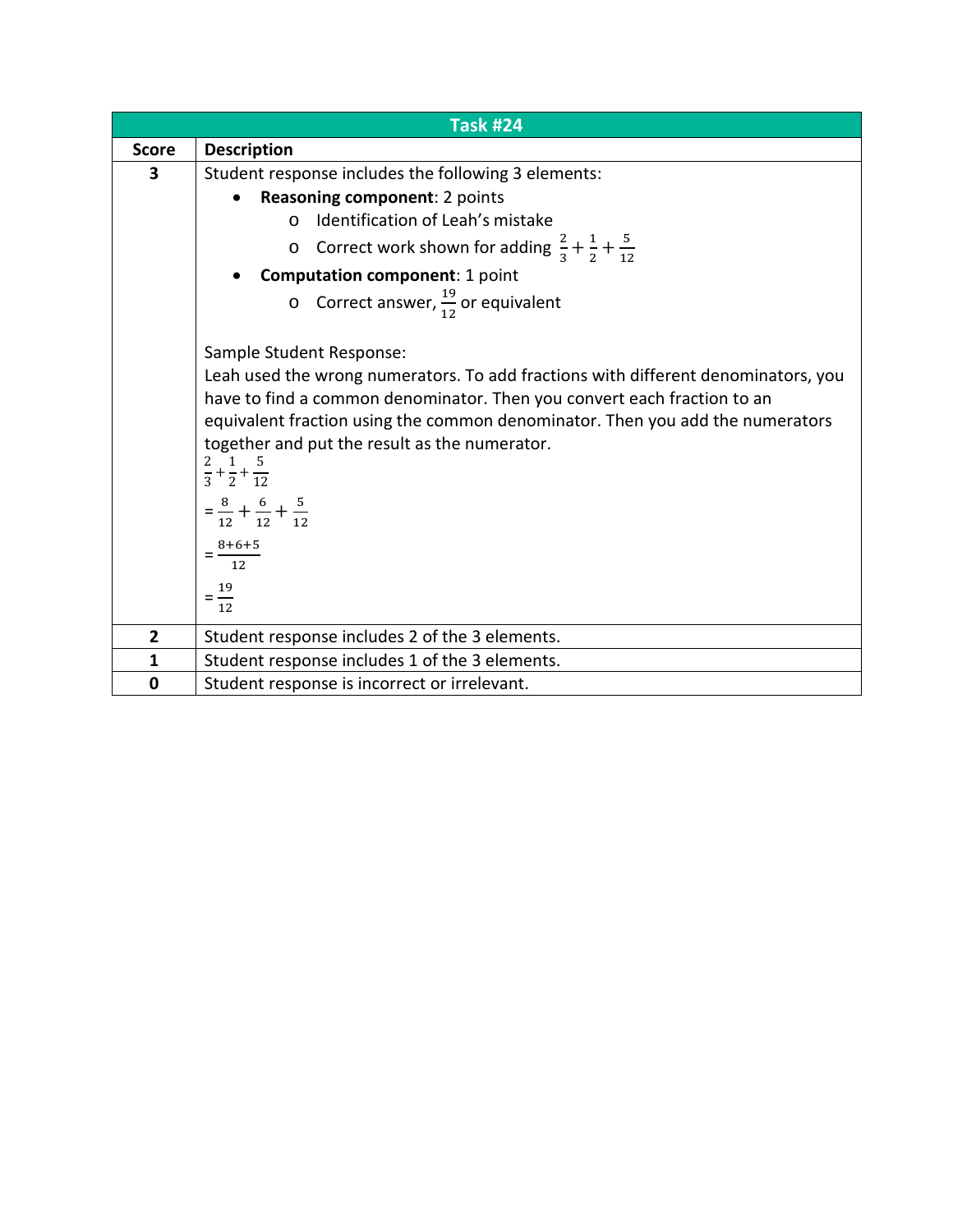|                | <b>Task #24</b>                                                                     |  |  |
|----------------|-------------------------------------------------------------------------------------|--|--|
| <b>Score</b>   | <b>Description</b>                                                                  |  |  |
| 3              | Student response includes the following 3 elements:                                 |  |  |
|                | Reasoning component: 2 points<br>$\bullet$                                          |  |  |
|                | Identification of Leah's mistake<br>$\Omega$                                        |  |  |
|                | Correct work shown for adding $\frac{2}{3} + \frac{1}{2} + \frac{5}{12}$<br>$\circ$ |  |  |
|                | <b>Computation component: 1 point</b>                                               |  |  |
|                | O Correct answer, $\frac{19}{12}$ or equivalent                                     |  |  |
|                | Sample Student Response:                                                            |  |  |
|                | Leah used the wrong numerators. To add fractions with different denominators, you   |  |  |
|                | have to find a common denominator. Then you convert each fraction to an             |  |  |
|                | equivalent fraction using the common denominator. Then you add the numerators       |  |  |
|                | together and put the result as the numerator.                                       |  |  |
|                | $\frac{2}{3} + \frac{1}{2} + \frac{5}{12}$                                          |  |  |
|                | $=\frac{8}{12}+\frac{6}{12}+\frac{5}{12}$                                           |  |  |
|                | $=\frac{8+6+5}{12}$                                                                 |  |  |
|                | $=$ $\frac{19}{1}$                                                                  |  |  |
|                | 12                                                                                  |  |  |
| $\overline{2}$ | Student response includes 2 of the 3 elements.                                      |  |  |
| $\mathbf{1}$   | Student response includes 1 of the 3 elements.                                      |  |  |
| 0              | Student response is incorrect or irrelevant.                                        |  |  |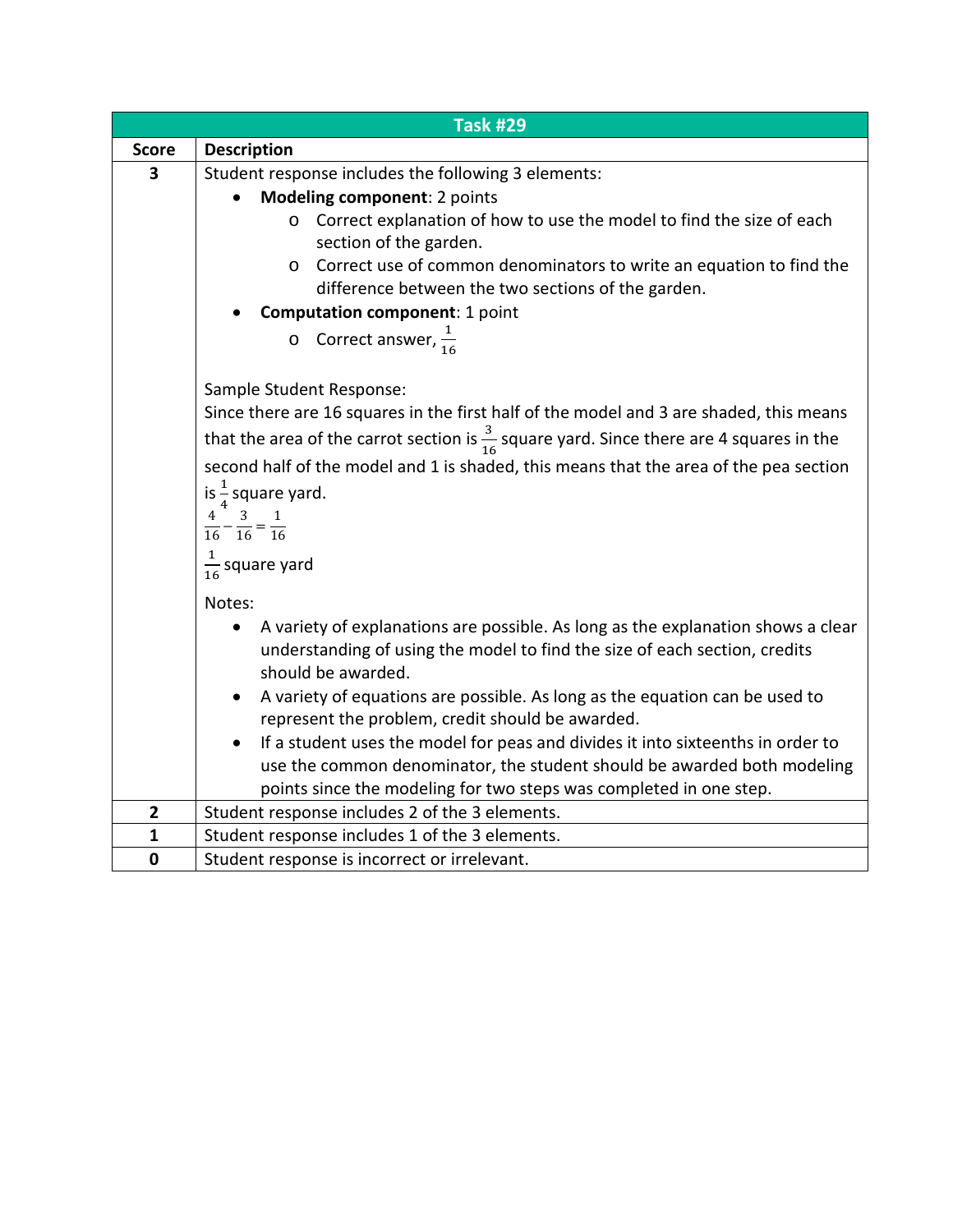|              | <b>Task #29</b>                                                                                     |  |  |  |  |  |
|--------------|-----------------------------------------------------------------------------------------------------|--|--|--|--|--|
| <b>Score</b> | <b>Description</b>                                                                                  |  |  |  |  |  |
| 3            | Student response includes the following 3 elements:                                                 |  |  |  |  |  |
|              | Modeling component: 2 points                                                                        |  |  |  |  |  |
|              | o Correct explanation of how to use the model to find the size of each                              |  |  |  |  |  |
|              | section of the garden.                                                                              |  |  |  |  |  |
|              | Correct use of common denominators to write an equation to find the<br>$\circ$                      |  |  |  |  |  |
|              | difference between the two sections of the garden.                                                  |  |  |  |  |  |
|              | <b>Computation component: 1 point</b>                                                               |  |  |  |  |  |
|              | o Correct answer, $\frac{1}{16}$                                                                    |  |  |  |  |  |
|              |                                                                                                     |  |  |  |  |  |
|              | Sample Student Response:                                                                            |  |  |  |  |  |
|              | Since there are 16 squares in the first half of the model and 3 are shaded, this means              |  |  |  |  |  |
|              | that the area of the carrot section is $\frac{3}{16}$ square yard. Since there are 4 squares in the |  |  |  |  |  |
|              | second half of the model and 1 is shaded, this means that the area of the pea section               |  |  |  |  |  |
|              |                                                                                                     |  |  |  |  |  |
|              | is $\frac{1}{4}$ square yard.                                                                       |  |  |  |  |  |
|              | $rac{4}{16} - \frac{3}{16} = \frac{1}{16}$                                                          |  |  |  |  |  |
|              |                                                                                                     |  |  |  |  |  |
|              | $\frac{1}{16}$ square yard                                                                          |  |  |  |  |  |
|              | Notes:                                                                                              |  |  |  |  |  |
|              | A variety of explanations are possible. As long as the explanation shows a clear                    |  |  |  |  |  |
|              | understanding of using the model to find the size of each section, credits                          |  |  |  |  |  |
|              | should be awarded.                                                                                  |  |  |  |  |  |
|              | A variety of equations are possible. As long as the equation can be used to<br>$\bullet$            |  |  |  |  |  |
|              | represent the problem, credit should be awarded.                                                    |  |  |  |  |  |
|              | If a student uses the model for peas and divides it into sixteenths in order to                     |  |  |  |  |  |
|              | use the common denominator, the student should be awarded both modeling                             |  |  |  |  |  |
|              | points since the modeling for two steps was completed in one step.                                  |  |  |  |  |  |
| $\mathbf{2}$ | Student response includes 2 of the 3 elements.                                                      |  |  |  |  |  |
| $\mathbf{1}$ | Student response includes 1 of the 3 elements.                                                      |  |  |  |  |  |
| $\mathbf 0$  | Student response is incorrect or irrelevant.                                                        |  |  |  |  |  |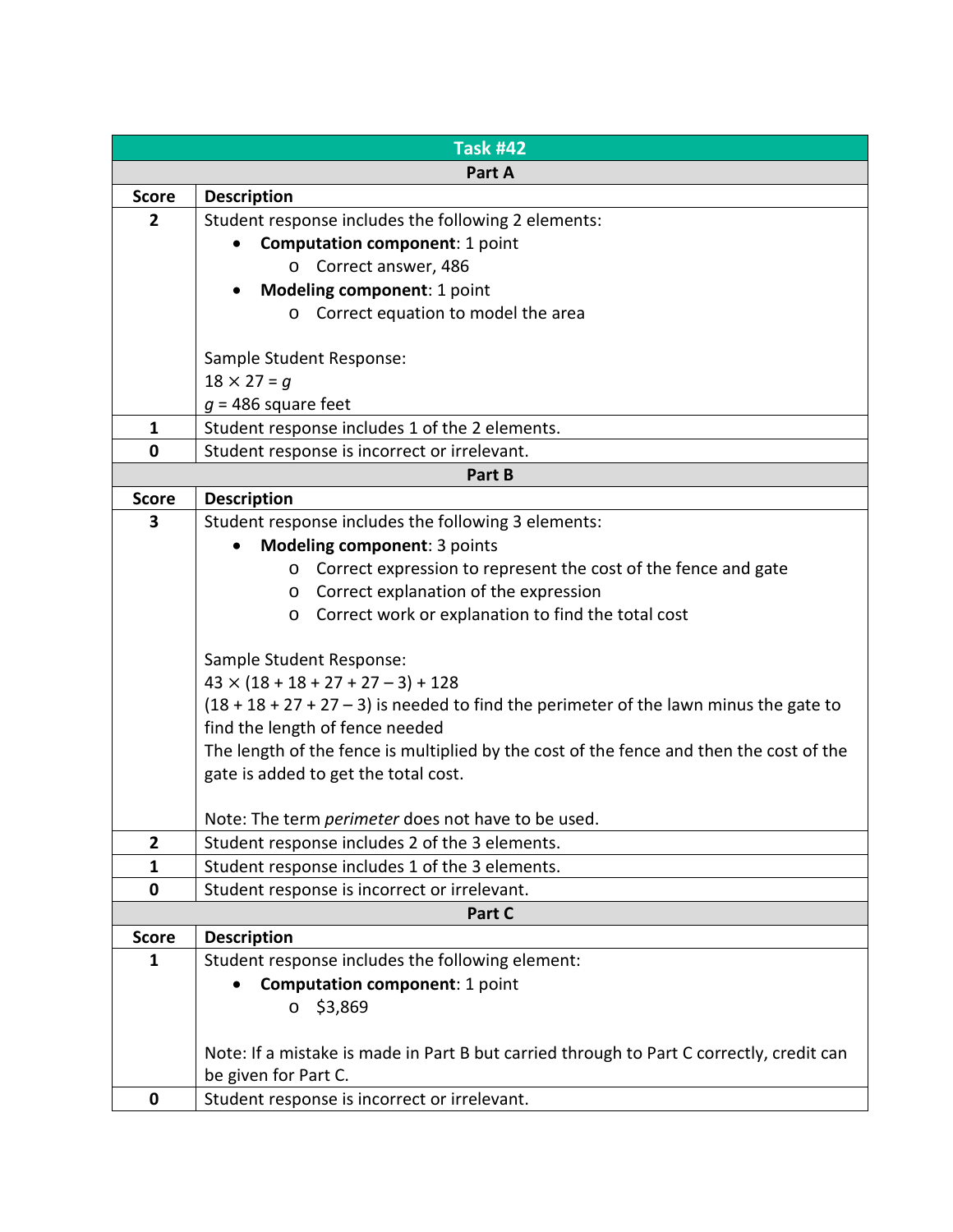|                | <b>Task #42</b>                                                                          |  |  |
|----------------|------------------------------------------------------------------------------------------|--|--|
|                | Part A                                                                                   |  |  |
| <b>Score</b>   | <b>Description</b>                                                                       |  |  |
| $\overline{2}$ | Student response includes the following 2 elements:                                      |  |  |
|                | <b>Computation component: 1 point</b>                                                    |  |  |
|                | Correct answer, 486<br>$\circ$                                                           |  |  |
|                | Modeling component: 1 point                                                              |  |  |
|                | o Correct equation to model the area                                                     |  |  |
|                |                                                                                          |  |  |
|                | Sample Student Response:                                                                 |  |  |
|                | $18 \times 27 = g$                                                                       |  |  |
|                | $g = 486$ square feet                                                                    |  |  |
| $\mathbf{1}$   | Student response includes 1 of the 2 elements.                                           |  |  |
| 0              | Student response is incorrect or irrelevant.                                             |  |  |
|                | Part B                                                                                   |  |  |
| <b>Score</b>   | <b>Description</b>                                                                       |  |  |
| 3              | Student response includes the following 3 elements:                                      |  |  |
|                | Modeling component: 3 points                                                             |  |  |
|                | o Correct expression to represent the cost of the fence and gate                         |  |  |
|                | Correct explanation of the expression<br>$\circ$                                         |  |  |
|                | Correct work or explanation to find the total cost<br>$\circ$                            |  |  |
|                | Sample Student Response:                                                                 |  |  |
|                | $43 \times (18 + 18 + 27 + 27 - 3) + 128$                                                |  |  |
|                | $(18 + 18 + 27 + 27 - 3)$ is needed to find the perimeter of the lawn minus the gate to  |  |  |
|                | find the length of fence needed                                                          |  |  |
|                | The length of the fence is multiplied by the cost of the fence and then the cost of the  |  |  |
|                | gate is added to get the total cost.                                                     |  |  |
|                |                                                                                          |  |  |
|                | Note: The term perimeter does not have to be used.                                       |  |  |
| 2              | Student response includes 2 of the 3 elements.                                           |  |  |
| $\mathbf{1}$   | Student response includes 1 of the 3 elements.                                           |  |  |
| 0              | Student response is incorrect or irrelevant.                                             |  |  |
|                | Part C                                                                                   |  |  |
| <b>Score</b>   | <b>Description</b>                                                                       |  |  |
| 1              | Student response includes the following element:                                         |  |  |
|                | <b>Computation component: 1 point</b>                                                    |  |  |
|                | \$3,869<br>$\circ$                                                                       |  |  |
|                |                                                                                          |  |  |
|                | Note: If a mistake is made in Part B but carried through to Part C correctly, credit can |  |  |
|                | be given for Part C.                                                                     |  |  |
| 0              | Student response is incorrect or irrelevant.                                             |  |  |